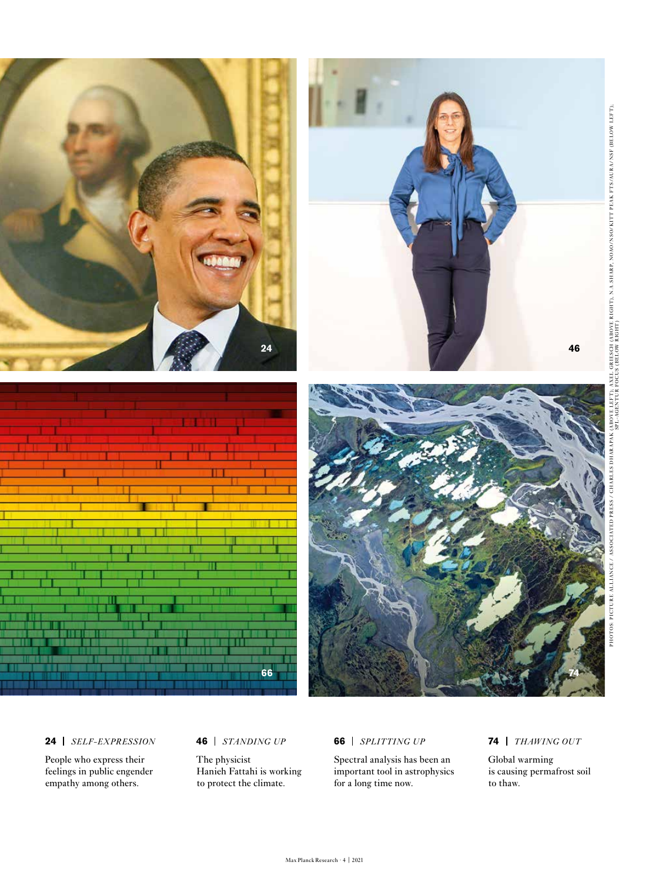

## **24** *SELF-EXPRESSION*

People who express their feelings in public engender empathy among others.

## **46** *STANDING UP*

The physicist Hanieh Fattahi is working to protect the climate.

#### **66** *SPLITTING UP*

Spectral analysis has been an important tool in astrophysics for a long time now.

# **74** *THAWING OUT*

Global warming is causing permafrost soil to thaw.